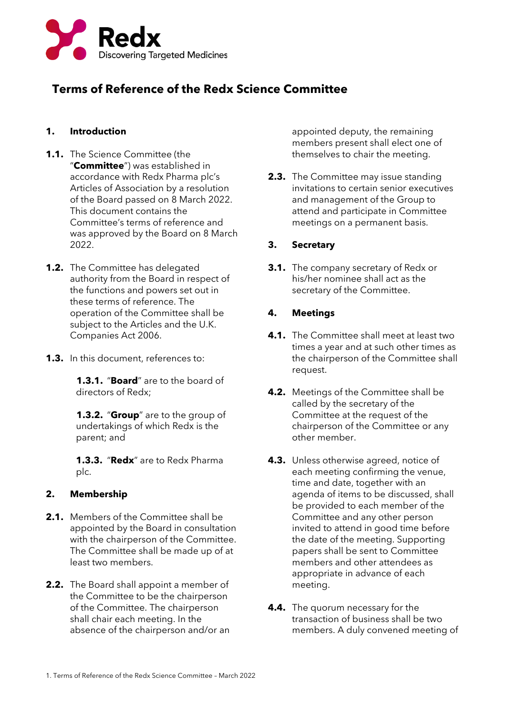

# **Terms of Reference of the Redx Science Committee**

### **1. Introduction**

- **1.1.** The Science Committee (the "**Committee**") was established in accordance with Redx Pharma plc's Articles of Association by a resolution of the Board passed on 8 March 2022. This document contains the Committee's terms of reference and was approved by the Board on 8 March 2022.
- **1.2.** The Committee has delegated authority from the Board in respect of the functions and powers set out in these terms of reference. The operation of the Committee shall be subject to the Articles and the U.K. Companies Act 2006.
- **1.3.** In this document, references to:

**1.3.1.** "**Board**" are to the board of directors of Redx;

**1.3.2.** "**Group**" are to the group of undertakings of which Redx is the parent; and

**1.3.3.** "**Redx**" are to Redx Pharma plc.

#### **2. Membership**

- **2.1.** Members of the Committee shall be appointed by the Board in consultation with the chairperson of the Committee. The Committee shall be made up of at least two members.
- **2.2.** The Board shall appoint a member of the Committee to be the chairperson of the Committee. The chairperson shall chair each meeting. In the absence of the chairperson and/or an

appointed deputy, the remaining members present shall elect one of themselves to chair the meeting.

**2.3.** The Committee may issue standing invitations to certain senior executives and management of the Group to attend and participate in Committee meetings on a permanent basis.

## **3. Secretary**

**3.1.** The company secretary of Redx or his/her nominee shall act as the secretary of the Committee.

#### **4. Meetings**

- **4.1.** The Committee shall meet at least two times a year and at such other times as the chairperson of the Committee shall request.
- **4.2.** Meetings of the Committee shall be called by the secretary of the Committee at the request of the chairperson of the Committee or any other member.
- **4.3.** Unless otherwise agreed, notice of each meeting confirming the venue, time and date, together with an agenda of items to be discussed, shall be provided to each member of the Committee and any other person invited to attend in good time before the date of the meeting. Supporting papers shall be sent to Committee members and other attendees as appropriate in advance of each meeting.
- **4.4.** The quorum necessary for the transaction of business shall be two members. A duly convened meeting of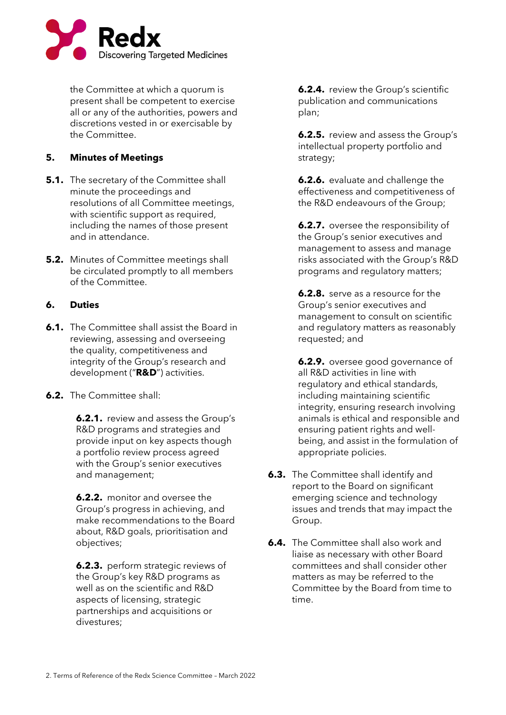

the Committee at which a quorum is present shall be competent to exercise all or any of the authorities, powers and discretions vested in or exercisable by the Committee.

### **5. Minutes of Meetings**

- **5.1.** The secretary of the Committee shall minute the proceedings and resolutions of all Committee meetings, with scientific support as required, including the names of those present and in attendance.
- **5.2.** Minutes of Committee meetings shall be circulated promptly to all members of the Committee.

#### **6. Duties**

- **6.1.** The Committee shall assist the Board in reviewing, assessing and overseeing the quality, competitiveness and integrity of the Group's research and development ("**R&D**") activities.
- **6.2.** The Committee shall:

**6.2.1.** review and assess the Group's R&D programs and strategies and provide input on key aspects though a portfolio review process agreed with the Group's senior executives and management;

**6.2.2.** monitor and oversee the Group's progress in achieving, and make recommendations to the Board about, R&D goals, prioritisation and objectives;

**6.2.3.** perform strategic reviews of the Group's key R&D programs as well as on the scientific and R&D aspects of licensing, strategic partnerships and acquisitions or divestures;

**6.2.4.** review the Group's scientific publication and communications plan;

**6.2.5.** review and assess the Group's intellectual property portfolio and strategy;

**6.2.6.** evaluate and challenge the effectiveness and competitiveness of the R&D endeavours of the Group;

**6.2.7.** oversee the responsibility of the Group's senior executives and management to assess and manage risks associated with the Group's R&D programs and regulatory matters;

**6.2.8.** serve as a resource for the Group's senior executives and management to consult on scientific and regulatory matters as reasonably requested; and

**6.2.9.** oversee good governance of all R&D activities in line with regulatory and ethical standards, including maintaining scientific integrity, ensuring research involving animals is ethical and responsible and ensuring patient rights and wellbeing, and assist in the formulation of appropriate policies.

- **6.3.** The Committee shall identify and report to the Board on significant emerging science and technology issues and trends that may impact the Group.
- **6.4.** The Committee shall also work and liaise as necessary with other Board committees and shall consider other matters as may be referred to the Committee by the Board from time to time.